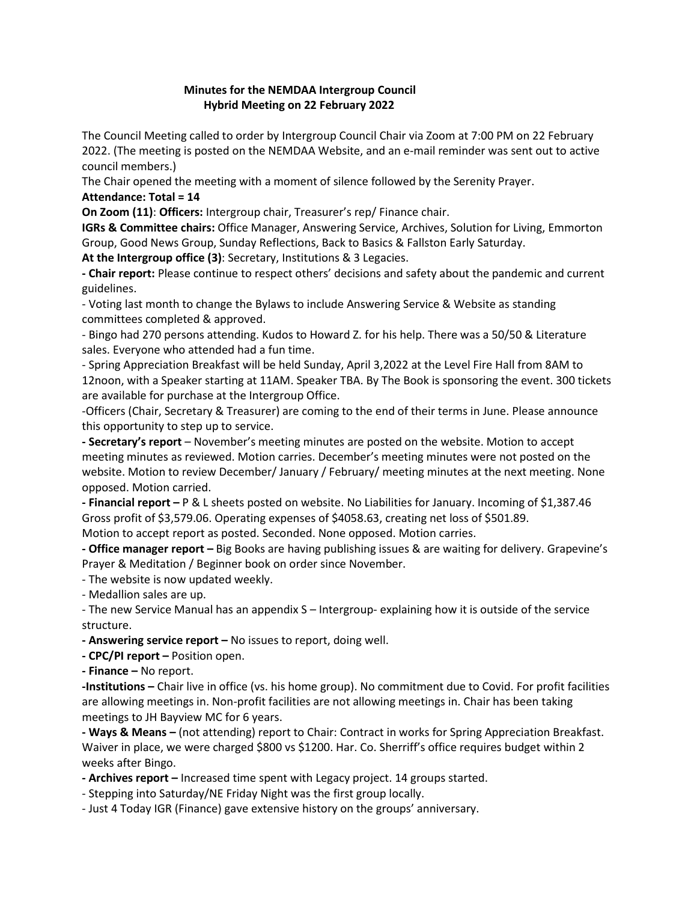## **Minutes for the NEMDAA Intergroup Council Hybrid Meeting on 22 February 2022**

The Council Meeting called to order by Intergroup Council Chair via Zoom at 7:00 PM on 22 February 2022. (The meeting is posted on the NEMDAA Website, and an e-mail reminder was sent out to active council members.)

The Chair opened the meeting with a moment of silence followed by the Serenity Prayer.

**Attendance: Total = 14**

**On Zoom (11)**: **Officers:** Intergroup chair, Treasurer's rep/ Finance chair.

**IGRs & Committee chairs:** Office Manager, Answering Service, Archives, Solution for Living, Emmorton Group, Good News Group, Sunday Reflections, Back to Basics & Fallston Early Saturday.

**At the Intergroup office (3)**: Secretary, Institutions & 3 Legacies.

**- Chair report:** Please continue to respect others' decisions and safety about the pandemic and current guidelines.

- Voting last month to change the Bylaws to include Answering Service & Website as standing committees completed & approved.

- Bingo had 270 persons attending. Kudos to Howard Z. for his help. There was a 50/50 & Literature sales. Everyone who attended had a fun time.

- Spring Appreciation Breakfast will be held Sunday, April 3,2022 at the Level Fire Hall from 8AM to 12noon, with a Speaker starting at 11AM. Speaker TBA. By The Book is sponsoring the event. 300 tickets are available for purchase at the Intergroup Office.

-Officers (Chair, Secretary & Treasurer) are coming to the end of their terms in June. Please announce this opportunity to step up to service.

**- Secretary's report** – November's meeting minutes are posted on the website. Motion to accept meeting minutes as reviewed. Motion carries. December's meeting minutes were not posted on the website. Motion to review December/ January / February/ meeting minutes at the next meeting. None opposed. Motion carried.

**- Financial report –** P & L sheets posted on website. No Liabilities for January. Incoming of \$1,387.46 Gross profit of \$3,579.06. Operating expenses of \$4058.63, creating net loss of \$501.89.

Motion to accept report as posted. Seconded. None opposed. Motion carries.

**- Office manager report –** Big Books are having publishing issues & are waiting for delivery. Grapevine's Prayer & Meditation / Beginner book on order since November.

- The website is now updated weekly.

- Medallion sales are up.

- The new Service Manual has an appendix S – Intergroup- explaining how it is outside of the service structure.

**- Answering service report –** No issues to report, doing well.

**- CPC/PI report –** Position open.

**- Finance –** No report.

**-Institutions –** Chair live in office (vs. his home group). No commitment due to Covid. For profit facilities are allowing meetings in. Non-profit facilities are not allowing meetings in. Chair has been taking meetings to JH Bayview MC for 6 years.

**- Ways & Means –** (not attending) report to Chair: Contract in works for Spring Appreciation Breakfast. Waiver in place, we were charged \$800 vs \$1200. Har. Co. Sherriff's office requires budget within 2 weeks after Bingo.

**- Archives report –** Increased time spent with Legacy project. 14 groups started.

- Stepping into Saturday/NE Friday Night was the first group locally.

- Just 4 Today IGR (Finance) gave extensive history on the groups' anniversary.